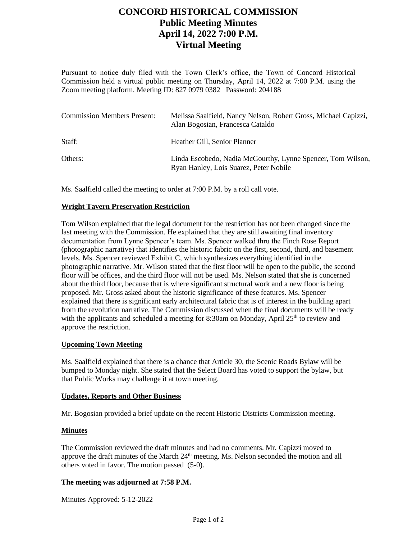## **CONCORD HISTORICAL COMMISSION Public Meeting Minutes April 14, 2022 7:00 P.M. Virtual Meeting**

Pursuant to notice duly filed with the Town Clerk's office, the Town of Concord Historical Commission held a virtual public meeting on Thursday, April 14, 2022 at 7:00 P.M. using the Zoom meeting platform. Meeting ID: 827 0979 0382 Password: 204188

| <b>Commission Members Present:</b> | Melissa Saalfield, Nancy Nelson, Robert Gross, Michael Capizzi,<br>Alan Bogosian, Francesca Cataldo   |
|------------------------------------|-------------------------------------------------------------------------------------------------------|
| Staff:                             | Heather Gill, Senior Planner                                                                          |
| Others:                            | Linda Escobedo, Nadia McGourthy, Lynne Spencer, Tom Wilson,<br>Ryan Hanley, Lois Suarez, Peter Nobile |

Ms. Saalfield called the meeting to order at 7:00 P.M. by a roll call vote.

### **Wright Tavern Preservation Restriction**

Tom Wilson explained that the legal document for the restriction has not been changed since the last meeting with the Commission. He explained that they are still awaiting final inventory documentation from Lynne Spencer's team. Ms. Spencer walked thru the Finch Rose Report (photographic narrative) that identifies the historic fabric on the first, second, third, and basement levels. Ms. Spencer reviewed Exhibit C, which synthesizes everything identified in the photographic narrative. Mr. Wilson stated that the first floor will be open to the public, the second floor will be offices, and the third floor will not be used. Ms. Nelson stated that she is concerned about the third floor, because that is where significant structural work and a new floor is being proposed. Mr. Gross asked about the historic significance of these features. Ms. Spencer explained that there is significant early architectural fabric that is of interest in the building apart from the revolution narrative. The Commission discussed when the final documents will be ready with the applicants and scheduled a meeting for 8:30am on Monday, April  $25<sup>th</sup>$  to review and approve the restriction.

### **Upcoming Town Meeting**

Ms. Saalfield explained that there is a chance that Article 30, the Scenic Roads Bylaw will be bumped to Monday night. She stated that the Select Board has voted to support the bylaw, but that Public Works may challenge it at town meeting.

### **Updates, Reports and Other Business**

Mr. Bogosian provided a brief update on the recent Historic Districts Commission meeting.

### **Minutes**

The Commission reviewed the draft minutes and had no comments. Mr. Capizzi moved to approve the draft minutes of the March 24<sup>th</sup> meeting. Ms. Nelson seconded the motion and all others voted in favor. The motion passed (5-0).

### **The meeting was adjourned at 7:58 P.M.**

Minutes Approved: 5-12-2022